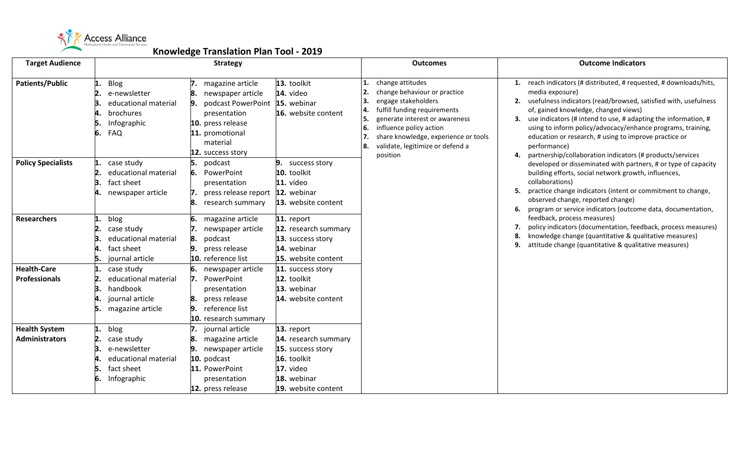

**Knowledge Translation Plan Tool - 2019**

| <b>Target Audience</b>                        |                                                                                                                             | <b>Strategy</b>                                                                                                                                                                                 | <b>Outcomes</b>                                                                                                                                                                                                                                                                                         | <b>Outcome Indicators</b>                                                                                                                                                                                                                                                                                                                                                                                                                                                                 |
|-----------------------------------------------|-----------------------------------------------------------------------------------------------------------------------------|-------------------------------------------------------------------------------------------------------------------------------------------------------------------------------------------------|---------------------------------------------------------------------------------------------------------------------------------------------------------------------------------------------------------------------------------------------------------------------------------------------------------|-------------------------------------------------------------------------------------------------------------------------------------------------------------------------------------------------------------------------------------------------------------------------------------------------------------------------------------------------------------------------------------------------------------------------------------------------------------------------------------------|
| <b>Patients/Public</b>                        | Blog<br>Ι1.<br>2<br>e-newsletter<br>В<br>educational material<br>brochures<br>4.<br>Infographic<br>5.<br><b>FAQ</b><br>6.   | 13. toolkit<br>magazine article<br>14. video<br>newspaper article<br>15. webinar<br>podcast PowerPoint<br>presentation<br>10. press release<br>11. promotional<br>material<br>12. success story | change attitudes<br>change behaviour or practice<br>engage stakeholders<br>fulfill funding requirements<br>16. website content<br>l 5.<br>generate interest or awareness<br>influence policy action<br>6.<br>share knowledge, experience or tools<br>validate, legitimize or defend a<br>8.<br>position | 1. reach indicators (# distributed, # requested, # downloads/hits,<br>media exposure)<br>usefulness indicators (read/browsed, satisfied with, usefulness<br>2.<br>of, gained knowledge, changed views)<br>use indicators (# intend to use, # adapting the information, #<br>3.<br>using to inform policy/advocacy/enhance programs, training,<br>education or research, # using to improve practice or<br>performance)<br>partnership/collaboration indicators (# products/services<br>4. |
| <b>Policy Specialists</b>                     | case study<br>1.<br>2<br>educational material<br>В<br>fact sheet<br>newspaper article                                       | 5.<br>podcast<br>6.<br>PowerPoint<br>10. toolkit<br>11. video<br>presentation<br>12. webinar<br>press release report<br>research summary                                                        | 9. success story<br>13. website content                                                                                                                                                                                                                                                                 | developed or disseminated with partners, # or type of capacity<br>building efforts, social network growth, influences,<br>collaborations)<br>practice change indicators (intent or commitment to change,<br>5.<br>observed change, reported change)<br>program or service indicators (outcome data, documentation,<br>6.                                                                                                                                                                  |
| <b>Researchers</b>                            | blog<br>1.<br>2.<br>case study<br>educational material<br>fact sheet<br>4.<br>5.<br>journal article                         | magazine article<br>11. report<br>newspaper article<br>podcast<br>9.<br>14. webinar<br>press release<br>10. reference list                                                                      | 12. research summary<br>13. success story<br>15. website content                                                                                                                                                                                                                                        | feedback, process measures)<br>policy indicators (documentation, feedback, process measures)<br>7.<br>knowledge change (quantitative & qualitative measures)<br>8.<br>9.<br>attitude change (quantitative & qualitative measures)                                                                                                                                                                                                                                                         |
| <b>Health-Care</b><br><b>Professionals</b>    | case study<br>educational material<br>12.<br>В<br>handbook<br>journal article<br>4<br>magazine article<br>15.               | newspaper article<br>PowerPoint<br>12. toolkit<br>13. webinar<br>presentation<br>press release<br>8.<br>9.<br>reference list<br>10. research summary                                            | 11. success story<br>14. website content                                                                                                                                                                                                                                                                |                                                                                                                                                                                                                                                                                                                                                                                                                                                                                           |
| <b>Health System</b><br><b>Administrators</b> | 1.<br>blog<br>2.<br>case study<br>3.<br>e-newsletter<br>educational material<br>4.<br>fact sheet<br>5.<br>Infographic<br>6. | journal article<br>13. report<br>magazine article<br>newspaper article<br>10. podcast<br>16. toolkit<br>11. PowerPoint<br>17. video<br>18. webinar<br>presentation<br>12. press release         | 14. research summary<br>15. success story<br>19. website content                                                                                                                                                                                                                                        |                                                                                                                                                                                                                                                                                                                                                                                                                                                                                           |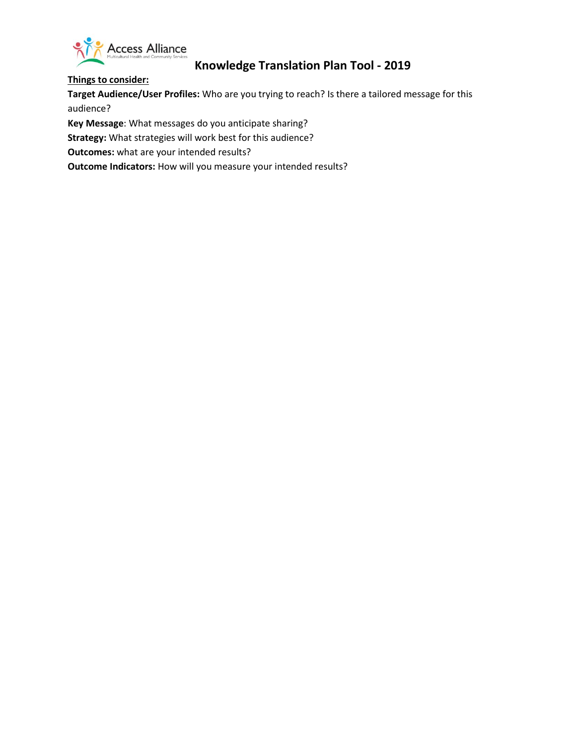

**Things to consider:**

**Target Audience/User Profiles:** Who are you trying to reach? Is there a tailored message for this audience?

**Key Message**: What messages do you anticipate sharing?

**Strategy:** What strategies will work best for this audience?

**Outcomes:** what are your intended results?

**Outcome Indicators:** How will you measure your intended results?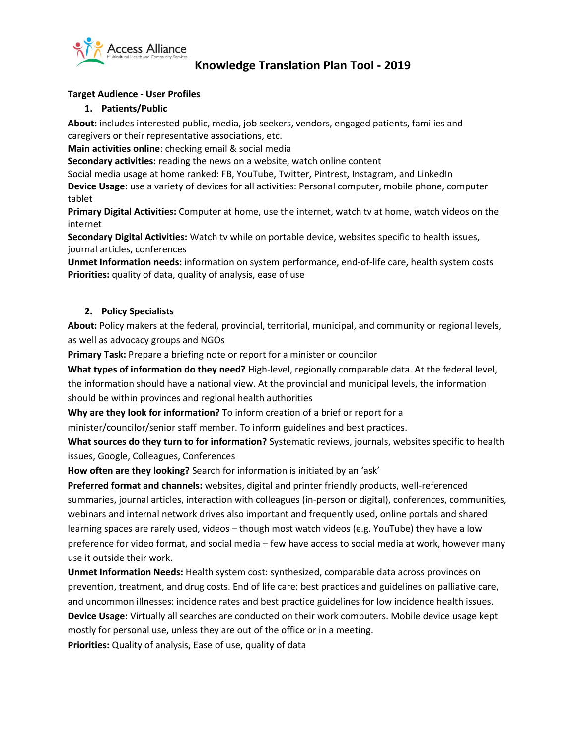

#### **Target Audience - User Profiles**

### **1. Patients/Public**

**About:** includes interested public, media, job seekers, vendors, engaged patients, families and caregivers or their representative associations, etc.

**Main activities online**: checking email & social media

**Secondary activities:** reading the news on a website, watch online content

Social media usage at home ranked: FB, YouTube, Twitter, Pintrest, Instagram, and LinkedIn **Device Usage:** use a variety of devices for all activities: Personal computer, mobile phone, computer tablet

**Primary Digital Activities:** Computer at home, use the internet, watch tv at home, watch videos on the internet

**Secondary Digital Activities:** Watch tv while on portable device, websites specific to health issues, journal articles, conferences

**Unmet Information needs:** information on system performance, end-of-life care, health system costs **Priorities:** quality of data, quality of analysis, ease of use

## **2. Policy Specialists**

**About:** Policy makers at the federal, provincial, territorial, municipal, and community or regional levels, as well as advocacy groups and NGOs

**Primary Task:** Prepare a briefing note or report for a minister or councilor

**What types of information do they need?** High-level, regionally comparable data. At the federal level, the information should have a national view. At the provincial and municipal levels, the information should be within provinces and regional health authorities

**Why are they look for information?** To inform creation of a brief or report for a

minister/councilor/senior staff member. To inform guidelines and best practices.

**What sources do they turn to for information?** Systematic reviews, journals, websites specific to health issues, Google, Colleagues, Conferences

**How often are they looking?** Search for information is initiated by an 'ask'

**Preferred format and channels:** websites, digital and printer friendly products, well-referenced summaries, journal articles, interaction with colleagues (in-person or digital), conferences, communities, webinars and internal network drives also important and frequently used, online portals and shared learning spaces are rarely used, videos – though most watch videos (e.g. YouTube) they have a low preference for video format, and social media – few have access to social media at work, however many use it outside their work.

**Unmet Information Needs:** Health system cost: synthesized, comparable data across provinces on prevention, treatment, and drug costs. End of life care: best practices and guidelines on palliative care, and uncommon illnesses: incidence rates and best practice guidelines for low incidence health issues. **Device Usage:** Virtually all searches are conducted on their work computers. Mobile device usage kept mostly for personal use, unless they are out of the office or in a meeting.

**Priorities:** Quality of analysis, Ease of use, quality of data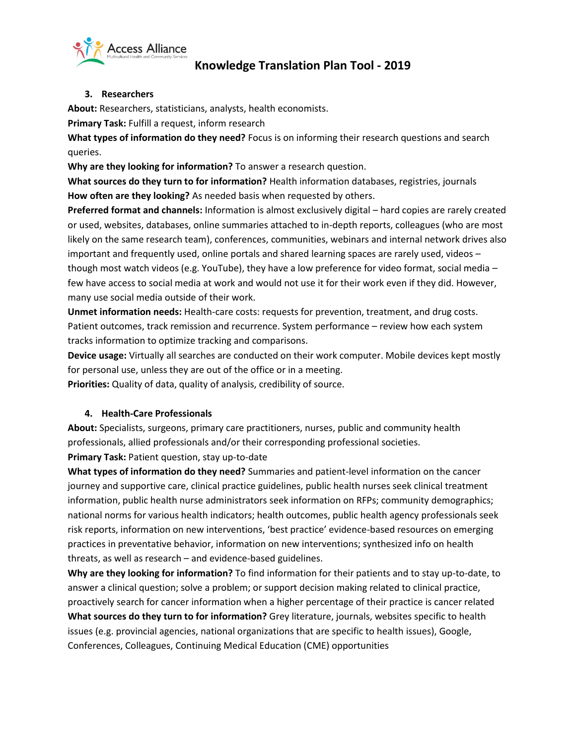

### **3. Researchers**

**About:** Researchers, statisticians, analysts, health economists.

**Primary Task:** Fulfill a request, inform research

**What types of information do they need?** Focus is on informing their research questions and search queries.

**Why are they looking for information?** To answer a research question.

**What sources do they turn to for information?** Health information databases, registries, journals **How often are they looking?** As needed basis when requested by others.

**Preferred format and channels:** Information is almost exclusively digital – hard copies are rarely created or used, websites, databases, online summaries attached to in-depth reports, colleagues (who are most likely on the same research team), conferences, communities, webinars and internal network drives also important and frequently used, online portals and shared learning spaces are rarely used, videos – though most watch videos (e.g. YouTube), they have a low preference for video format, social media – few have access to social media at work and would not use it for their work even if they did. However, many use social media outside of their work.

**Unmet information needs:** Health-care costs: requests for prevention, treatment, and drug costs. Patient outcomes, track remission and recurrence. System performance – review how each system tracks information to optimize tracking and comparisons.

**Device usage:** Virtually all searches are conducted on their work computer. Mobile devices kept mostly for personal use, unless they are out of the office or in a meeting.

**Priorities:** Quality of data, quality of analysis, credibility of source.

## **4. Health-Care Professionals**

**About:** Specialists, surgeons, primary care practitioners, nurses, public and community health professionals, allied professionals and/or their corresponding professional societies.

**Primary Task:** Patient question, stay up-to-date

**What types of information do they need?** Summaries and patient-level information on the cancer journey and supportive care, clinical practice guidelines, public health nurses seek clinical treatment information, public health nurse administrators seek information on RFPs; community demographics; national norms for various health indicators; health outcomes, public health agency professionals seek risk reports, information on new interventions, 'best practice' evidence-based resources on emerging practices in preventative behavior, information on new interventions; synthesized info on health threats, as well as research – and evidence-based guidelines.

**Why are they looking for information?** To find information for their patients and to stay up-to-date, to answer a clinical question; solve a problem; or support decision making related to clinical practice, proactively search for cancer information when a higher percentage of their practice is cancer related

**What sources do they turn to for information?** Grey literature, journals, websites specific to health issues (e.g. provincial agencies, national organizations that are specific to health issues), Google, Conferences, Colleagues, Continuing Medical Education (CME) opportunities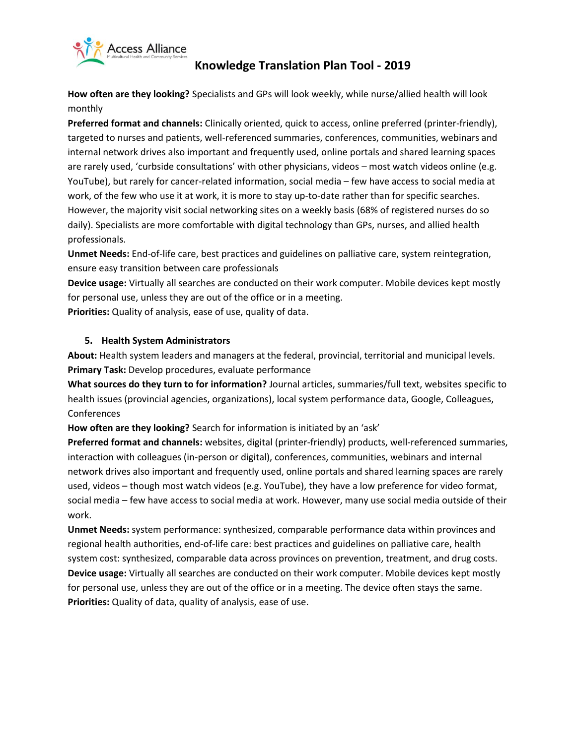

**How often are they looking?** Specialists and GPs will look weekly, while nurse/allied health will look monthly

**Preferred format and channels:** Clinically oriented, quick to access, online preferred (printer-friendly), targeted to nurses and patients, well-referenced summaries, conferences, communities, webinars and internal network drives also important and frequently used, online portals and shared learning spaces are rarely used, 'curbside consultations' with other physicians, videos – most watch videos online (e.g. YouTube), but rarely for cancer-related information, social media – few have access to social media at work, of the few who use it at work, it is more to stay up-to-date rather than for specific searches. However, the majority visit social networking sites on a weekly basis (68% of registered nurses do so daily). Specialists are more comfortable with digital technology than GPs, nurses, and allied health professionals.

**Unmet Needs:** End-of-life care, best practices and guidelines on palliative care, system reintegration, ensure easy transition between care professionals

**Device usage:** Virtually all searches are conducted on their work computer. Mobile devices kept mostly for personal use, unless they are out of the office or in a meeting.

**Priorities:** Quality of analysis, ease of use, quality of data.

## **5. Health System Administrators**

**About:** Health system leaders and managers at the federal, provincial, territorial and municipal levels. **Primary Task:** Develop procedures, evaluate performance

**What sources do they turn to for information?** Journal articles, summaries/full text, websites specific to health issues (provincial agencies, organizations), local system performance data, Google, Colleagues, Conferences

**How often are they looking?** Search for information is initiated by an 'ask'

**Preferred format and channels:** websites, digital (printer-friendly) products, well-referenced summaries, interaction with colleagues (in-person or digital), conferences, communities, webinars and internal network drives also important and frequently used, online portals and shared learning spaces are rarely used, videos – though most watch videos (e.g. YouTube), they have a low preference for video format, social media – few have access to social media at work. However, many use social media outside of their work.

**Unmet Needs:** system performance: synthesized, comparable performance data within provinces and regional health authorities, end-of-life care: best practices and guidelines on palliative care, health system cost: synthesized, comparable data across provinces on prevention, treatment, and drug costs. **Device usage:** Virtually all searches are conducted on their work computer. Mobile devices kept mostly for personal use, unless they are out of the office or in a meeting. The device often stays the same. **Priorities:** Quality of data, quality of analysis, ease of use.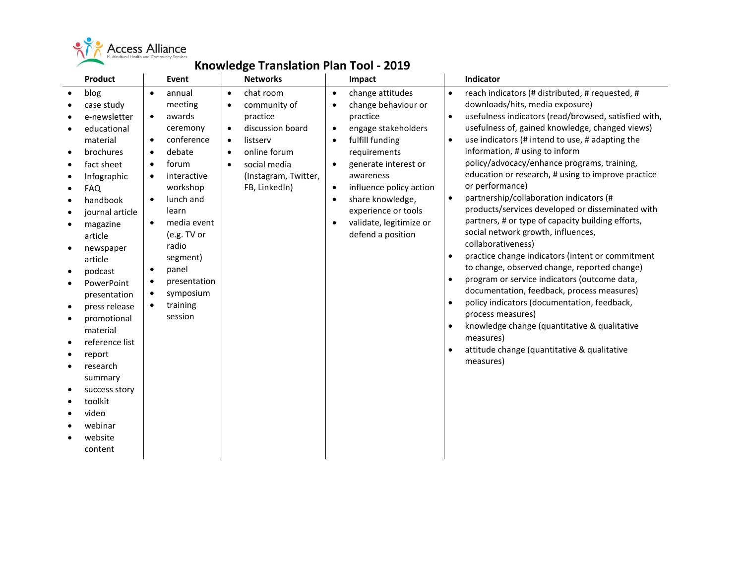

| chat room<br>reach indicators (# distributed, # requested, #<br>annual<br>change attitudes<br>$\bullet$<br>blog<br>$\bullet$<br>$\bullet$<br>$\bullet$<br>$\bullet$<br>downloads/hits, media exposure)<br>meeting<br>community of<br>change behaviour or<br>case study<br>$\bullet$<br>usefulness indicators (read/browsed, satisfied with,<br>awards<br>practice<br>e-newsletter<br>practice<br>$\bullet$<br>$\bullet$<br>usefulness of, gained knowledge, changed views)<br>discussion board<br>engage stakeholders<br>ceremony<br>educational<br>$\bullet$<br>$\bullet$<br>use indicators (# intend to use, # adapting the<br>conference<br>fulfill funding<br>material<br>listserv<br>$\bullet$<br>$\bullet$<br>$\bullet$<br>information, # using to inform<br>debate<br>requirements<br>brochures<br>online forum<br>$\bullet$<br>$\bullet$<br>$\bullet$ |  |
|---------------------------------------------------------------------------------------------------------------------------------------------------------------------------------------------------------------------------------------------------------------------------------------------------------------------------------------------------------------------------------------------------------------------------------------------------------------------------------------------------------------------------------------------------------------------------------------------------------------------------------------------------------------------------------------------------------------------------------------------------------------------------------------------------------------------------------------------------------------|--|
|                                                                                                                                                                                                                                                                                                                                                                                                                                                                                                                                                                                                                                                                                                                                                                                                                                                               |  |
|                                                                                                                                                                                                                                                                                                                                                                                                                                                                                                                                                                                                                                                                                                                                                                                                                                                               |  |
|                                                                                                                                                                                                                                                                                                                                                                                                                                                                                                                                                                                                                                                                                                                                                                                                                                                               |  |
|                                                                                                                                                                                                                                                                                                                                                                                                                                                                                                                                                                                                                                                                                                                                                                                                                                                               |  |
|                                                                                                                                                                                                                                                                                                                                                                                                                                                                                                                                                                                                                                                                                                                                                                                                                                                               |  |
|                                                                                                                                                                                                                                                                                                                                                                                                                                                                                                                                                                                                                                                                                                                                                                                                                                                               |  |
| policy/advocacy/enhance programs, training,<br>forum<br>social media<br>generate interest or<br>fact sheet<br>$\bullet$<br>$\bullet$<br>$\bullet$                                                                                                                                                                                                                                                                                                                                                                                                                                                                                                                                                                                                                                                                                                             |  |
| education or research, # using to improve practice<br>interactive<br>(Instagram, Twitter,<br>awareness<br>Infographic<br>$\bullet$<br>$\bullet$                                                                                                                                                                                                                                                                                                                                                                                                                                                                                                                                                                                                                                                                                                               |  |
| or performance)<br>FB, LinkedIn)<br>influence policy action<br>workshop<br><b>FAQ</b><br>$\bullet$<br>$\bullet$                                                                                                                                                                                                                                                                                                                                                                                                                                                                                                                                                                                                                                                                                                                                               |  |
| partnership/collaboration indicators (#<br>$\bullet$<br>lunch and<br>share knowledge,<br>handbook<br>$\bullet$<br>$\bullet$                                                                                                                                                                                                                                                                                                                                                                                                                                                                                                                                                                                                                                                                                                                                   |  |
| products/services developed or disseminated with<br>experience or tools<br>learn<br>journal article<br>$\bullet$                                                                                                                                                                                                                                                                                                                                                                                                                                                                                                                                                                                                                                                                                                                                              |  |
| partners, # or type of capacity building efforts,<br>validate, legitimize or<br>media event<br>$\bullet$<br>magazine                                                                                                                                                                                                                                                                                                                                                                                                                                                                                                                                                                                                                                                                                                                                          |  |
| social network growth, influences,<br>defend a position<br>(e.g. TV or<br>article                                                                                                                                                                                                                                                                                                                                                                                                                                                                                                                                                                                                                                                                                                                                                                             |  |
| collaborativeness)<br>radio<br>newspaper                                                                                                                                                                                                                                                                                                                                                                                                                                                                                                                                                                                                                                                                                                                                                                                                                      |  |
| practice change indicators (intent or commitment<br>$\bullet$<br>segment)<br>article                                                                                                                                                                                                                                                                                                                                                                                                                                                                                                                                                                                                                                                                                                                                                                          |  |
| to change, observed change, reported change)<br>panel<br>$\bullet$<br>podcast<br>٠                                                                                                                                                                                                                                                                                                                                                                                                                                                                                                                                                                                                                                                                                                                                                                            |  |
| program or service indicators (outcome data,<br>$\bullet$<br>presentation<br>$\bullet$<br>PowerPoint<br>$\bullet$                                                                                                                                                                                                                                                                                                                                                                                                                                                                                                                                                                                                                                                                                                                                             |  |
| documentation, feedback, process measures)<br>symposium<br>$\bullet$<br>presentation                                                                                                                                                                                                                                                                                                                                                                                                                                                                                                                                                                                                                                                                                                                                                                          |  |
| policy indicators (documentation, feedback,<br>$\bullet$<br>training<br>press release<br>$\bullet$<br>$\bullet$                                                                                                                                                                                                                                                                                                                                                                                                                                                                                                                                                                                                                                                                                                                                               |  |
| process measures)<br>session<br>promotional<br>$\bullet$                                                                                                                                                                                                                                                                                                                                                                                                                                                                                                                                                                                                                                                                                                                                                                                                      |  |
| knowledge change (quantitative & qualitative<br>$\bullet$<br>material                                                                                                                                                                                                                                                                                                                                                                                                                                                                                                                                                                                                                                                                                                                                                                                         |  |
| measures)<br>reference list<br>$\bullet$                                                                                                                                                                                                                                                                                                                                                                                                                                                                                                                                                                                                                                                                                                                                                                                                                      |  |
| attitude change (quantitative & qualitative<br>$\bullet$<br>report                                                                                                                                                                                                                                                                                                                                                                                                                                                                                                                                                                                                                                                                                                                                                                                            |  |
| measures)<br>research                                                                                                                                                                                                                                                                                                                                                                                                                                                                                                                                                                                                                                                                                                                                                                                                                                         |  |
| summary                                                                                                                                                                                                                                                                                                                                                                                                                                                                                                                                                                                                                                                                                                                                                                                                                                                       |  |
| success story<br>٠                                                                                                                                                                                                                                                                                                                                                                                                                                                                                                                                                                                                                                                                                                                                                                                                                                            |  |
| toolkit                                                                                                                                                                                                                                                                                                                                                                                                                                                                                                                                                                                                                                                                                                                                                                                                                                                       |  |
| video                                                                                                                                                                                                                                                                                                                                                                                                                                                                                                                                                                                                                                                                                                                                                                                                                                                         |  |
| webinar                                                                                                                                                                                                                                                                                                                                                                                                                                                                                                                                                                                                                                                                                                                                                                                                                                                       |  |
| website                                                                                                                                                                                                                                                                                                                                                                                                                                                                                                                                                                                                                                                                                                                                                                                                                                                       |  |
| content                                                                                                                                                                                                                                                                                                                                                                                                                                                                                                                                                                                                                                                                                                                                                                                                                                                       |  |